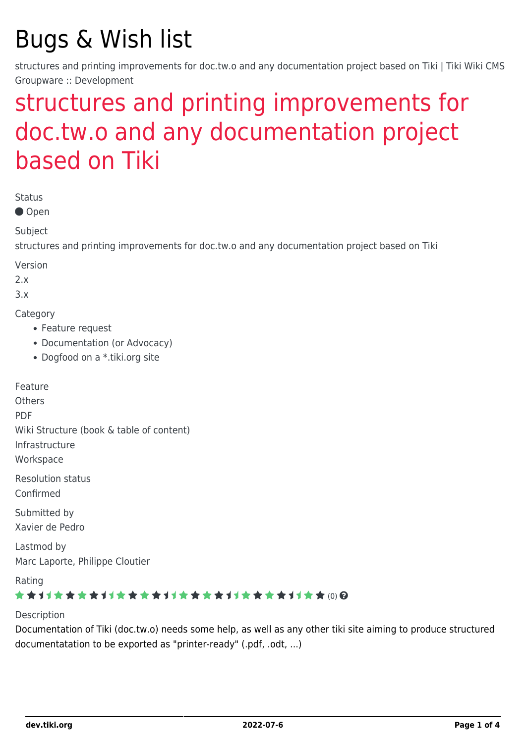# Bugs & Wish list

structures and printing improvements for doc.tw.o and any documentation project based on Tiki | Tiki Wiki CMS Groupware :: Development

# [structures and printing improvements for](https://dev.tiki.org/item1184-structures-and-printing-improvements-for-doc-tw-o-and-any-documentation-project-based-on-Tiki) [doc.tw.o and any documentation project](https://dev.tiki.org/item1184-structures-and-printing-improvements-for-doc-tw-o-and-any-documentation-project-based-on-Tiki) [based on Tiki](https://dev.tiki.org/item1184-structures-and-printing-improvements-for-doc-tw-o-and-any-documentation-project-based-on-Tiki)

Status

● Open

Subject

structures and printing improvements for doc.tw.o and any documentation project based on Tiki

Version

2.x

3.x

**Category** 

- Feature request
- Documentation (or Advocacy)
- Dogfood on a \*.tiki.org site

Feature **Others** PDF Wiki Structure (book & table of content) Infrastructure **Workspace** Resolution status

Confirmed

Submitted by Xavier de Pedro

Lastmod by Marc Laporte, Philippe Cloutier

Rating

#### \*\*\*\*\*\*\*\*\*\*\*\*\*\*\*\*\*\*\*\*\*\*\*\*\*\*\*\*\*\*\*

#### Description

Documentation of Tiki (doc.tw.o) needs some help, as well as any other tiki site aiming to produce structured documentatation to be exported as "printer-ready" (.pdf, .odt, ...)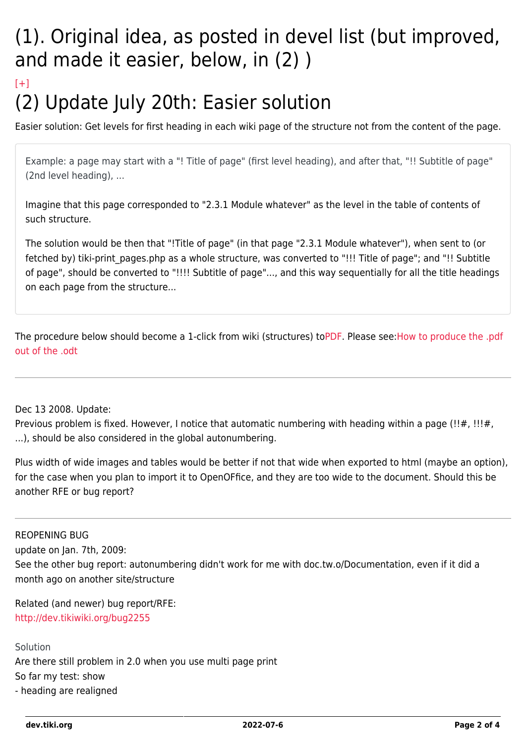## (1). Original idea, as posted in devel list (but improved, and made it easier, below, in (2) )

### $[+]$ (2) Update July 20th: Easier solution

Easier solution: Get levels for first heading in each wiki page of the structure not from the content of the page.

Example: a page may start with a "! Title of page" (first level heading), and after that, "!! Subtitle of page" (2nd level heading), ...

Imagine that this page corresponded to "2.3.1 Module whatever" as the level in the table of contents of such structure.

The solution would be then that "!Title of page" (in that page "2.3.1 Module whatever"), when sent to (or fetched by) tiki-print pages.php as a whole structure, was converted to "!!! Title of page"; and "!! Subtitle of page", should be converted to "!!!! Subtitle of page"..., and this way sequentially for all the title headings on each page from the structure...

The procedure below should become a 1-click from wiki (structures) to[PDF](http://doc.tikiwiki.org/Tiki19beta.pdf). Please see[:How to produce the .pdf](http://doc.tikiwiki.org/Printing+the+Documentation) [out of the .odt](http://doc.tikiwiki.org/Printing+the+Documentation)

#### Dec 13 2008. Update:

Previous problem is fixed. However, I notice that automatic numbering with heading within a page (!!#, !!!#, ...), should be also considered in the global autonumbering.

Plus width of wide images and tables would be better if not that wide when exported to html (maybe an option), for the case when you plan to import it to OpenOFfice, and they are too wide to the document. Should this be another RFE or bug report?

#### REOPENING BUG

update on Jan. 7th, 2009:

See the other bug report: autonumbering didn't work for me with doc.tw.o/Documentation, even if it did a month ago on another site/structure

Related (and newer) bug report/RFE: <http://dev.tikiwiki.org/bug2255>

Solution Are there still problem in 2.0 when you use multi page print So far my test: show - heading are realigned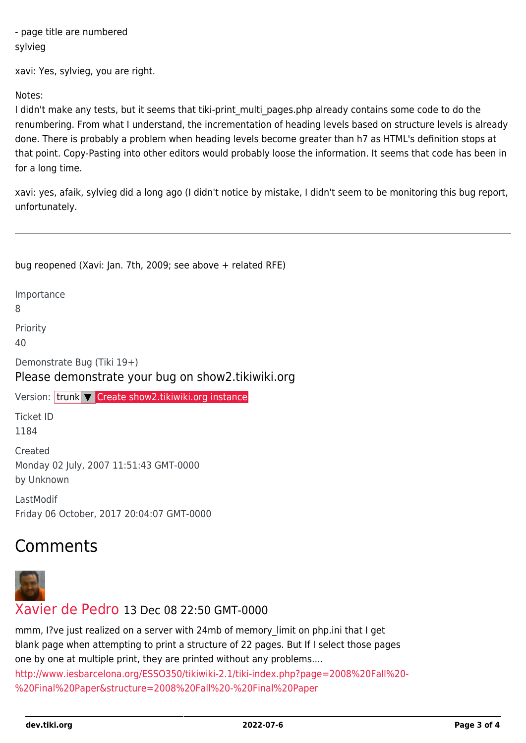- page title are numbered sylvieg

xavi: Yes, sylvieg, you are right.

Notes:

I didn't make any tests, but it seems that tiki-print multi pages.php already contains some code to do the renumbering. From what I understand, the incrementation of heading levels based on structure levels is already done. There is probably a problem when heading levels become greater than h7 as HTML's definition stops at that point. Copy-Pasting into other editors would probably loose the information. It seems that code has been in for a long time.

xavi: yes, afaik, sylvieg did a long ago (I didn't notice by mistake, I didn't seem to be monitoring this bug report, unfortunately.

bug reopened (Xavi: Jan. 7th, 2009; see above + related RFE) Importance 8 Priority 40 Demonstrate Bug (Tiki 19+) Please demonstrate your bug on show2.tikiwiki.org Version: trunk ▼ [Create show2.tikiwiki.org instance](#page--1-0) Ticket ID 1184 Created Monday 02 July, 2007 11:51:43 GMT-0000 by Unknown LastModif Friday 06 October, 2017 20:04:07 GMT-0000

## Comments



#### [Xavier de Pedro](https://dev.tiki.org/user9794) 13 Dec 08 22:50 GMT-0000

mmm, I?ve just realized on a server with 24mb of memory limit on php.ini that I get blank page when attempting to print a structure of 22 pages. But If I select those pages one by one at multiple print, they are printed without any problems.... [http://www.iesbarcelona.org/ESSO350/tikiwiki-2.1/tiki-index.php?page=2008%20Fall%20-](http://www.iesbarcelona.org/ESSO350/tikiwiki-2.1/tiki-index.php?page=2008%20Fall%20-%20Final%20Paper&structure=2008%20Fall%20-%20Final%20Paper) [%20Final%20Paper&structure=2008%20Fall%20-%20Final%20Paper](http://www.iesbarcelona.org/ESSO350/tikiwiki-2.1/tiki-index.php?page=2008%20Fall%20-%20Final%20Paper&structure=2008%20Fall%20-%20Final%20Paper)